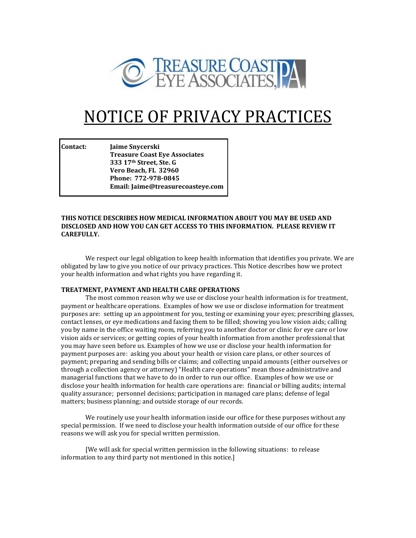

# NOTICE OF PRIVACY PRACTICES

**Contact: Jaime Snycerski Treasure Coast Eye Associates 333 17th Street, Ste. G Vero Beach, FL 32960 Phone: 772-978-0845 Email: Jaime@treasurecoasteye.com**

## **THIS NOTICE DESCRIBES HOW MEDICAL INFORMATION ABOUT YOU MAY BE USED AND DISCLOSED AND HOW YOU CAN GET ACCESS TO THIS INFORMATION. PLEASE REVIEW IT CAREFULLY.**

We respect our legal obligation to keep health information that identifies you private. We are obligated by law to give you notice of our privacy practices. This Notice describes how we protect your health information and what rights you have regarding it.

#### **TREATMENT, PAYMENT AND HEALTH CARE OPERATIONS**

The most common reason why we use or disclose your health information is for treatment, payment or healthcare operations. Examples of how we use or disclose information for treatment purposes are: setting up an appointment for you, testing or examining your eyes; prescribing glasses, contact lenses, or eye medications and faxing them to be filled; showing you low vision aids; calling you by name in the office waiting room, referring you to another doctor or clinic for eye care or low vision aids or services; or getting copies of your health information from another professional that you may have seen before us. Examples of how we use or disclose your health information for payment purposes are: asking you about your health or vision care plans, or other sources of payment; preparing and sending bills or claims; and collecting unpaid amounts (either ourselves or through a collection agency or attorney) "Health care operations" mean those administrative and managerial functions that we have to do in order to run our office. Examples of how we use or disclose your health information for health care operations are: financial or billing audits; internal quality assurance; personnel decisions; participation in managed care plans; defense of legal matters; business planning; and outside storage of our records.

We routinely use your health information inside our office for these purposes without any special permission. If we need to disclose your health information outside of our office for these reasons we will ask you for special written permission.

[We will ask for special written permission in the following situations: to release information to any third party not mentioned in this notice.]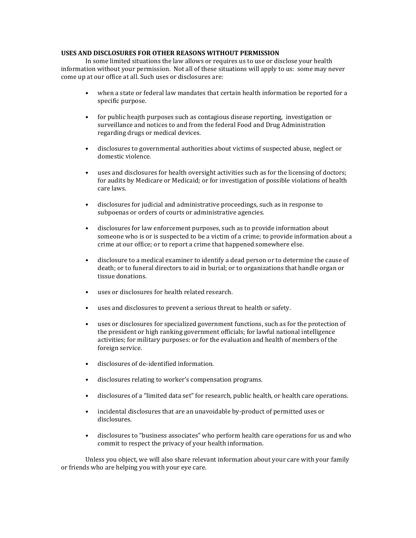## **USES AND DISCLOSURES FOR OTHER REASONS WITHOUT PERMISSION**

In some limited situations the law allows or requires us to use or disclose your health information without your permission. Not all of these situations will apply to us: some may never come up at our office at all. Such uses or disclosures are:

- when a state or federal law mandates that certain health information be reported for a specific purpose.
- for public heajth purposes such as contagious disease reporting, investigation or surveillance and notices to and from the federal Food and Drug Administration regarding drugs or medical devices.
- disclosures to governmental authorities about victims of suspected abuse, neglect or domestic violence.
- uses and disclosures for health oversight activities such as for the licensing of doctors; for audits by Medicare or Medicaid; or for investigation of possible violations of health care laws.
- disclosures for judicial and administrative proceedings, such as in response to subpoenas or orders of courts or administrative agencies.
- disclosures for law enforcement purposes, such as to provide information about someone who is or is suspected to be a victim of a crime; to provide information about a crime at our office; or to report a crime that happened somewhere else.
- disclosure to a medical examiner to identify a dead person or to determine the cause of death; or to funeral directors to aid in burial; or to organizations that handle organ or tissue donations.
- uses or disclosures for health related research.
- uses and disclosures to prevent a serious threat to health or safety.
- uses or disclosures for specialized government functions, such as for the protection of the president or high ranking government officials; for lawful national intelligence activities; for military purposes: or for the evaluation and health of members of the foreign service.
- disclosures of de-identified information.
- disclosures relating to worker's compensation programs.
- disclosures of a "limited data set" for research, public health, or health care operations.
- incidental disclosures that are an unavoidable by-product of permitted uses or disclosures.
- disclosures to "business associates" who perform health care operations for us and who commit to respect the privacy of your health information.

Unless you object, we will also share relevant information about your care with your family or friends who are helping you with your eye care.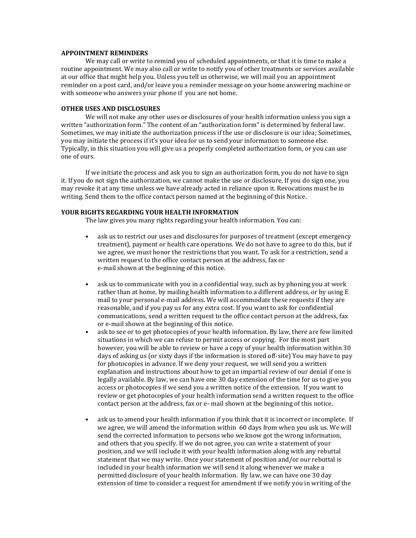## **APPOINTMENT REMINDERS**

We may call or write to remind you of scheduled appointments, or that it is time to make a routine appointment. We may also call or write to notify you of other treatments or services available at our office that might help you. Unless you tell us otherwise, we will mail you an appointment reminder on a post card, and/or leave you a reminder message on your home answering machine or with someone who answers your phone if you are not home.

## **OTHER USES AND DISCLOSURES**

We will not make any other uses or disclosures of your health information unless you sign a written "authorization form." The content of an "authorization form" is determined by federal law. Sometimes, we may initiate the authorization process if the use or disclosure is our idea; Sometimes, you may initiate the process if it's your idea for us to send your information to someone else. Typically, in this situation you will give us a properly completed authorization form, or you can use one of ours.

If we initiate the process and ask you to sign an authorization form, you do not have to sign it. If you do not sign the authorization, we cannot make the use or disclosure, If you do sign one, you may revoke it at any time unless we have already acted in reliance upon it. Revocations must be in writing. Send them to the office contact person named at the beginning of this Notice.

### **YOUR RIGHTS REGARDING YOUR HEALTH INFORMATION**

The law gives you many rights regarding your health information. You can:

- ask us to restrict our uses and disclosures for purposes of treatment (except emergency treatment), payment or health care operations. We do not have to agree to do this, but if we agree, we must honor the restrictions that you want. To ask for a restriction, send a written request to the office contact person at the address, fax or e-mail shown at the beginning of this notice.
- ask us to communicate with you in a confidential way, such as by phoning you at work rather than at home, by mailing health information to a different address, or by using E mail to your personal e-mail address. We will accommodate these requests if they are reasonable, and if you pay us for any extra cost. If you want to ask for confidential communications, send a written request to the office contact person at the address, fax or e-mail shown at the beginning of this notice.
- ask to see or to get photocopies of your health information. By law, there are few limited situations in which we can refuse to permit access or copying. For the most part however, you will be able to review or have a copy of your health information within 30 days of asking us (or sixty days if the information is stored off-site) You may have to pay for photocopies in advance. If we deny your request, we will send you a written explanation and instructions about how to get an impartial review of our denial if one is legally available. By law, we can have one 30 day extension of the time for us to give you access or photocopies if we send you a written notice of the extension. If you want to review or get photocopies of your health information send a written request to the office contact person at the address, fax or e- mail shown at the beginning of this notice.
- ask us to amend your health information if you think that it is incorrect or incomplete. If we agree, we will amend the information within 60 days from when you ask us. We will send the corrected information to persons who we know got the wrong information, and others that you specify. If we do not agree, you can write a statement of your position, and we will include it with your health information along with any rebuttal statement that we may write. Once your statement of position and/or our rebuttal is included in your health information we will send it along whenever we make a permitted disclosure of your health information. By law, we can have one 30 day extension of time to consider a request for amendment if we notify you in writing of the